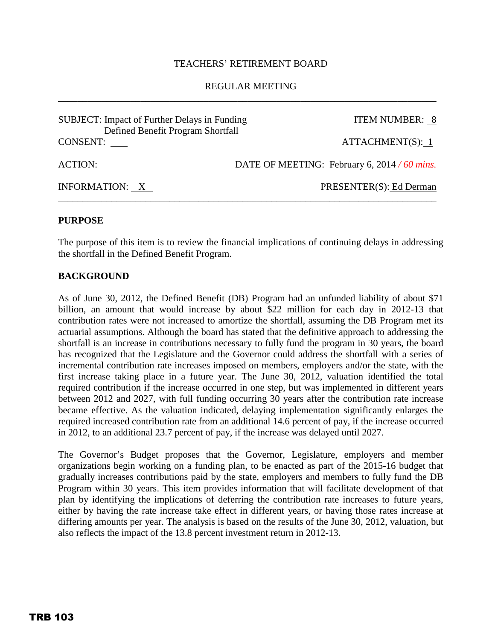#### TEACHERS' RETIREMENT BOARD

## REGULAR MEETING \_\_\_\_\_\_\_\_\_\_\_\_\_\_\_\_\_\_\_\_\_\_\_\_\_\_\_\_\_\_\_\_\_\_\_\_\_\_\_\_\_\_\_\_\_\_\_\_\_\_\_\_\_\_\_\_\_\_\_\_\_\_\_\_\_\_\_\_\_\_\_\_\_\_\_\_\_\_

| <b>SUBJECT:</b> Impact of Further Delays in Funding<br>Defined Benefit Program Shortfall | <b>ITEM NUMBER: 8</b>                        |
|------------------------------------------------------------------------------------------|----------------------------------------------|
| CONSENT:                                                                                 | ATTACHMENT(S): 1                             |
| ACTION:                                                                                  | DATE OF MEETING: February 6, 2014 / 60 mins. |
| INFORMATION: X                                                                           | PRESENTER(S): Ed Derman                      |

#### **PURPOSE**

The purpose of this item is to review the financial implications of continuing delays in addressing the shortfall in the Defined Benefit Program.

#### **BACKGROUND**

As of June 30, 2012, the Defined Benefit (DB) Program had an unfunded liability of about \$71 billion, an amount that would increase by about \$22 million for each day in 2012-13 that contribution rates were not increased to amortize the shortfall, assuming the DB Program met its actuarial assumptions. Although the board has stated that the definitive approach to addressing the shortfall is an increase in contributions necessary to fully fund the program in 30 years, the board has recognized that the Legislature and the Governor could address the shortfall with a series of incremental contribution rate increases imposed on members, employers and/or the state, with the first increase taking place in a future year. The June 30, 2012, valuation identified the total required contribution if the increase occurred in one step, but was implemented in different years between 2012 and 2027, with full funding occurring 30 years after the contribution rate increase became effective. As the valuation indicated, delaying implementation significantly enlarges the required increased contribution rate from an additional 14.6 percent of pay, if the increase occurred in 2012, to an additional 23.7 percent of pay, if the increase was delayed until 2027.

The Governor's Budget proposes that the Governor, Legislature, employers and member organizations begin working on a funding plan, to be enacted as part of the 2015-16 budget that gradually increases contributions paid by the state, employers and members to fully fund the DB Program within 30 years. This item provides information that will facilitate development of that plan by identifying the implications of deferring the contribution rate increases to future years, either by having the rate increase take effect in different years, or having those rates increase at differing amounts per year. The analysis is based on the results of the June 30, 2012, valuation, but also reflects the impact of the 13.8 percent investment return in 2012-13.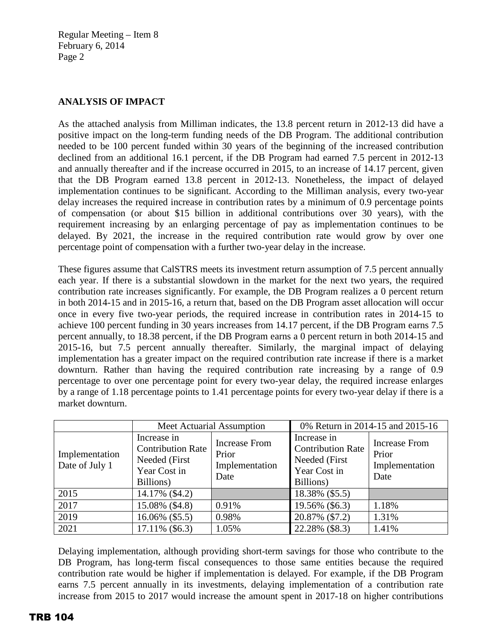Regular Meeting – Item 8 February 6, 2014 Page 2

## **ANALYSIS OF IMPACT**

As the attached analysis from Milliman indicates, the 13.8 percent return in 2012-13 did have a positive impact on the long-term funding needs of the DB Program. The additional contribution needed to be 100 percent funded within 30 years of the beginning of the increased contribution declined from an additional 16.1 percent, if the DB Program had earned 7.5 percent in 2012-13 and annually thereafter and if the increase occurred in 2015, to an increase of 14.17 percent, given that the DB Program earned 13.8 percent in 2012-13. Nonetheless, the impact of delayed implementation continues to be significant. According to the Milliman analysis, every two-year delay increases the required increase in contribution rates by a minimum of 0.9 percentage points of compensation (or about \$15 billion in additional contributions over 30 years), with the requirement increasing by an enlarging percentage of pay as implementation continues to be delayed. By 2021, the increase in the required contribution rate would grow by over one percentage point of compensation with a further two-year delay in the increase.

These figures assume that CalSTRS meets its investment return assumption of 7.5 percent annually each year. If there is a substantial slowdown in the market for the next two years, the required contribution rate increases significantly. For example, the DB Program realizes a 0 percent return in both 2014-15 and in 2015-16, a return that, based on the DB Program asset allocation will occur once in every five two-year periods, the required increase in contribution rates in 2014-15 to achieve 100 percent funding in 30 years increases from 14.17 percent, if the DB Program earns 7.5 percent annually, to 18.38 percent, if the DB Program earns a 0 percent return in both 2014-15 and 2015-16, but 7.5 percent annually thereafter. Similarly, the marginal impact of delaying implementation has a greater impact on the required contribution rate increase if there is a market downturn. Rather than having the required contribution rate increasing by a range of 0.9 percentage to over one percentage point for every two-year delay, the required increase enlarges by a range of 1.18 percentage points to 1.41 percentage points for every two-year delay if there is a market downturn.

|                                  | Meet Actuarial Assumption                                                             |                                                         | 0% Return in 2014-15 and 2015-16                                                      |                                                         |  |
|----------------------------------|---------------------------------------------------------------------------------------|---------------------------------------------------------|---------------------------------------------------------------------------------------|---------------------------------------------------------|--|
| Implementation<br>Date of July 1 | Increase in<br><b>Contribution Rate</b><br>Needed (First<br>Year Cost in<br>Billions) | <b>Increase From</b><br>Prior<br>Implementation<br>Date | Increase in<br><b>Contribution Rate</b><br>Needed (First<br>Year Cost in<br>Billions) | <b>Increase From</b><br>Prior<br>Implementation<br>Date |  |
| 2015                             | 14.17% (\$4.2)                                                                        |                                                         | 18.38% (\$5.5)                                                                        |                                                         |  |
| 2017                             | 15.08% (\$4.8)                                                                        | 0.91%                                                   | 19.56% (\$6.3)                                                                        | 1.18%                                                   |  |
| 2019                             | 16.06% (\$5.5)                                                                        | 0.98%                                                   | 20.87% (\$7.2)                                                                        | 1.31%                                                   |  |
| 2021                             | 17.11% (\$6.3)                                                                        | 1.05%                                                   | 22.28% (\$8.3)                                                                        | 1.41%                                                   |  |

Delaying implementation, although providing short-term savings for those who contribute to the DB Program, has long-term fiscal consequences to those same entities because the required contribution rate would be higher if implementation is delayed. For example, if the DB Program earns 7.5 percent annually in its investments, delaying implementation of a contribution rate increase from 2015 to 2017 would increase the amount spent in 2017-18 on higher contributions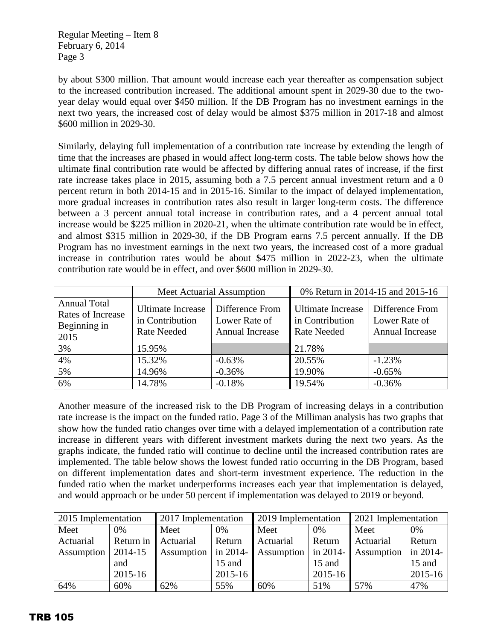Regular Meeting – Item 8 February 6, 2014 Page 3

by about \$300 million. That amount would increase each year thereafter as compensation subject to the increased contribution increased. The additional amount spent in 2029-30 due to the twoyear delay would equal over \$450 million. If the DB Program has no investment earnings in the next two years, the increased cost of delay would be almost \$375 million in 2017-18 and almost \$600 million in 2029-30.

Similarly, delaying full implementation of a contribution rate increase by extending the length of time that the increases are phased in would affect long-term costs. The table below shows how the ultimate final contribution rate would be affected by differing annual rates of increase, if the first rate increase takes place in 2015, assuming both a 7.5 percent annual investment return and a 0 percent return in both 2014-15 and in 2015-16. Similar to the impact of delayed implementation, more gradual increases in contribution rates also result in larger long-term costs. The difference between a 3 percent annual total increase in contribution rates, and a 4 percent annual total increase would be \$225 million in 2020-21, when the ultimate contribution rate would be in effect, and almost \$315 million in 2029-30, if the DB Program earns 7.5 percent annually. If the DB Program has no investment earnings in the next two years, the increased cost of a more gradual increase in contribution rates would be about \$475 million in 2022-23, when the ultimate contribution rate would be in effect, and over \$600 million in 2029-30.

|                                                                  |                                                                   | Meet Actuarial Assumption                           | 0% Return in 2014-15 and 2015-16                           |                                                     |  |
|------------------------------------------------------------------|-------------------------------------------------------------------|-----------------------------------------------------|------------------------------------------------------------|-----------------------------------------------------|--|
| <b>Annual Total</b><br>Rates of Increase<br>Beginning in<br>2015 | <b>Ultimate Increase</b><br>in Contribution<br><b>Rate Needed</b> | Difference From<br>Lower Rate of<br>Annual Increase | Ultimate Increase<br>in Contribution<br><b>Rate Needed</b> | Difference From<br>Lower Rate of<br>Annual Increase |  |
| 3%                                                               | 15.95%                                                            |                                                     | 21.78%                                                     |                                                     |  |
| 4%                                                               | 15.32%                                                            | $-0.63%$                                            | 20.55%                                                     | $-1.23%$                                            |  |
| 5%                                                               | 14.96%                                                            | $-0.36%$                                            | 19.90%                                                     | $-0.65%$                                            |  |
| 6%                                                               | 14.78%                                                            | $-0.18%$                                            | 19.54%                                                     | $-0.36%$                                            |  |

Another measure of the increased risk to the DB Program of increasing delays in a contribution rate increase is the impact on the funded ratio. Page 3 of the Milliman analysis has two graphs that show how the funded ratio changes over time with a delayed implementation of a contribution rate increase in different years with different investment markets during the next two years. As the graphs indicate, the funded ratio will continue to decline until the increased contribution rates are implemented. The table below shows the lowest funded ratio occurring in the DB Program, based on different implementation dates and short-term investment experience. The reduction in the funded ratio when the market underperforms increases each year that implementation is delayed, and would approach or be under 50 percent if implementation was delayed to 2019 or beyond.

| 2015 Implementation |           | 2017 Implementation |             | 2019 Implementation |              | 2021 Implementation |            |
|---------------------|-----------|---------------------|-------------|---------------------|--------------|---------------------|------------|
| Meet                | 0%        | Meet                | 0%          | Meet                | 0%           | Meet                | 0%         |
| Actuarial           | Return in | Actuarial           | Return      | Actuarial           | Return       | Actuarial           | Return     |
| Assumption          | 2014-15   | Assumption          | in 2014-    | Assumption          | $\ln 2014$ - | Assumption          | in $2014-$ |
|                     | and       |                     | 15 and      |                     | 15 and       |                     | 15 and     |
|                     | 2015-16   |                     | $2015 - 16$ |                     | 2015-16      |                     | 2015-16    |
| 64%                 | 60%       | 62%                 | 55%         | 60%                 | 51%          | 57%                 | 47%        |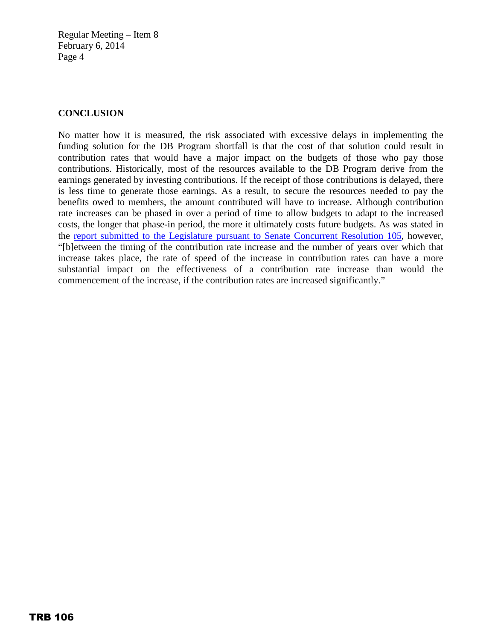Regular Meeting – Item 8 February 6, 2014 Page 4

## **CONCLUSION**

No matter how it is measured, the risk associated with excessive delays in implementing the funding solution for the DB Program shortfall is that the cost of that solution could result in contribution rates that would have a major impact on the budgets of those who pay those contributions. Historically, most of the resources available to the DB Program derive from the earnings generated by investing contributions. If the receipt of those contributions is delayed, there is less time to generate those earnings. As a result, to secure the resources needed to pay the benefits owed to members, the amount contributed will have to increase. Although contribution rate increases can be phased in over a period of time to allow budgets to adapt to the increased costs, the longer that phase-in period, the more it ultimately costs future budgets. As was stated in the [report submitted to the Legislature pursuant to Senate Concurrent Resolution 105,](http://www.calstrs.com/sites/main/files/file-attachments/scr_105_final_reportltr_v2.pdf) however, "[b]etween the timing of the contribution rate increase and the number of years over which that increase takes place, the rate of speed of the increase in contribution rates can have a more substantial impact on the effectiveness of a contribution rate increase than would the commencement of the increase, if the contribution rates are increased significantly."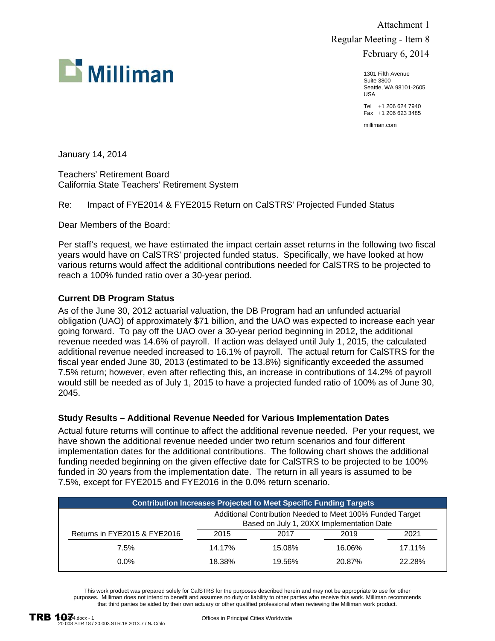

 Attachment 1 Regular Meeting - Item 8 February 6, 2014

> 1301 Fifth Avenue Suite 3800 Seattle, WA 98101-2605 USA

Tel +1 206 624 7940 Fax +1 206 623 3485

milliman.com

January 14, 2014

Teachers' Retirement Board California State Teachers' Retirement System

Re: Impact of FYE2014 & FYE2015 Return on CalSTRS' Projected Funded Status

Dear Members of the Board:

Per staff's request, we have estimated the impact certain asset returns in the following two fiscal years would have on CalSTRS' projected funded status. Specifically, we have looked at how various returns would affect the additional contributions needed for CalSTRS to be projected to reach a 100% funded ratio over a 30-year period.

#### **Current DB Program Status**

As of the June 30, 2012 actuarial valuation, the DB Program had an unfunded actuarial obligation (UAO) of approximately \$71 billion, and the UAO was expected to increase each year going forward. To pay off the UAO over a 30-year period beginning in 2012, the additional revenue needed was 14.6% of payroll. If action was delayed until July 1, 2015, the calculated additional revenue needed increased to 16.1% of payroll. The actual return for CalSTRS for the fiscal year ended June 30, 2013 (estimated to be 13.8%) significantly exceeded the assumed 7.5% return; however, even after reflecting this, an increase in contributions of 14.2% of payroll would still be needed as of July 1, 2015 to have a projected funded ratio of 100% as of June 30, 2045.

#### **Study Results – Additional Revenue Needed for Various Implementation Dates**

Actual future returns will continue to affect the additional revenue needed. Per your request, we have shown the additional revenue needed under two return scenarios and four different implementation dates for the additional contributions. The following chart shows the additional funding needed beginning on the given effective date for CalSTRS to be projected to be 100% funded in 30 years from the implementation date. The return in all years is assumed to be 7.5%, except for FYE2015 and FYE2016 in the 0.0% return scenario.

| <b>Contribution Increases Projected to Meet Specific Funding Targets</b> |                                                                                                        |        |        |        |  |
|--------------------------------------------------------------------------|--------------------------------------------------------------------------------------------------------|--------|--------|--------|--|
|                                                                          | Additional Contribution Needed to Meet 100% Funded Target<br>Based on July 1, 20XX Implementation Date |        |        |        |  |
| Returns in FYE2015 & FYE2016                                             | 2015                                                                                                   | 2017   | 2019   | 2021   |  |
| 7.5%                                                                     | 14.17%                                                                                                 | 15.08% | 16.06% | 17.11% |  |
| $0.0\%$                                                                  | 18.38%                                                                                                 | 19.56% | 20.87% | 22.28% |  |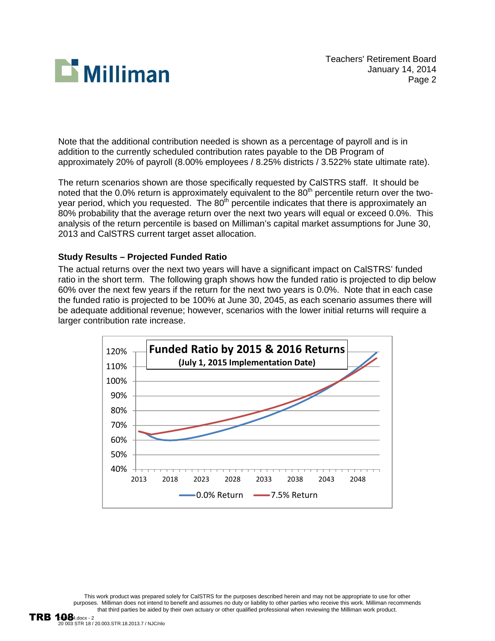

Note that the additional contribution needed is shown as a percentage of payroll and is in addition to the currently scheduled contribution rates payable to the DB Program of approximately 20% of payroll (8.00% employees / 8.25% districts / 3.522% state ultimate rate).

The return scenarios shown are those specifically requested by CalSTRS staff. It should be noted that the 0.0% return is approximately equivalent to the  $80<sup>th</sup>$  percentile return over the twoyear period, which you requested. The  $80<sup>th</sup>$  percentile indicates that there is approximately an 80% probability that the average return over the next two years will equal or exceed 0.0%. This analysis of the return percentile is based on Milliman's capital market assumptions for June 30, 2013 and CalSTRS current target asset allocation.

### **Study Results – Projected Funded Ratio**

The actual returns over the next two years will have a significant impact on CalSTRS' funded ratio in the short term. The following graph shows how the funded ratio is projected to dip below 60% over the next few years if the return for the next two years is 0.0%. Note that in each case the funded ratio is projected to be 100% at June 30, 2045, as each scenario assumes there will be adequate additional revenue; however, scenarios with the lower initial returns will require a larger contribution rate increase.

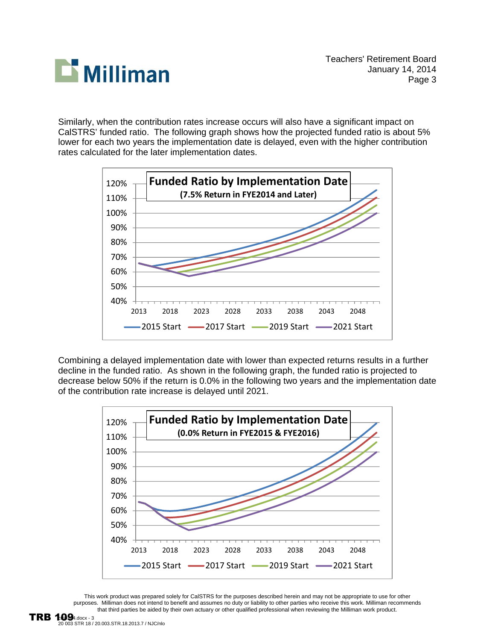

Similarly, when the contribution rates increase occurs will also have a significant impact on CalSTRS' funded ratio. The following graph shows how the projected funded ratio is about 5% lower for each two years the implementation date is delayed, even with the higher contribution rates calculated for the later implementation dates.



Combining a delayed implementation date with lower than expected returns results in a further decline in the funded ratio. As shown in the following graph, the funded ratio is projected to decrease below 50% if the return is 0.0% in the following two years and the implementation date of the contribution rate increase is delayed until 2021.

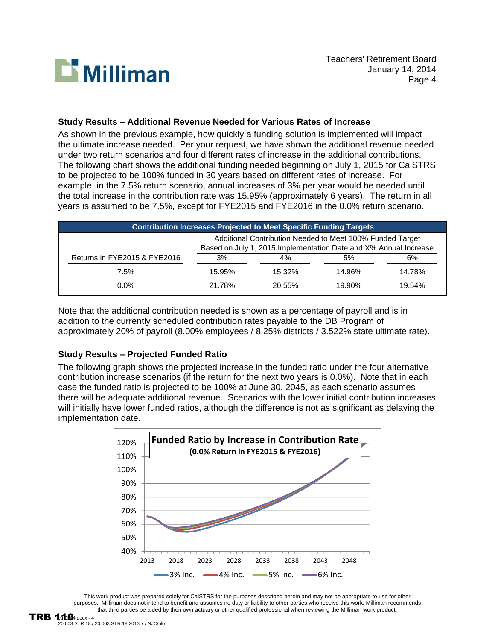

### **Study Results – Additional Revenue Needed for Various Rates of Increase**

As shown in the previous example, how quickly a funding solution is implemented will impact the ultimate increase needed. Per your request, we have shown the additional revenue needed under two return scenarios and four different rates of increase in the additional contributions. The following chart shows the additional funding needed beginning on July 1, 2015 for CalSTRS to be projected to be 100% funded in 30 years based on different rates of increase. For example, in the 7.5% return scenario, annual increases of 3% per year would be needed until the total increase in the contribution rate was 15.95% (approximately 6 years). The return in all years is assumed to be 7.5%, except for FYE2015 and FYE2016 in the 0.0% return scenario.

| <b>Contribution Increases Projected to Meet Specific Funding Targets</b> |                                                                                                                               |        |        |        |  |  |
|--------------------------------------------------------------------------|-------------------------------------------------------------------------------------------------------------------------------|--------|--------|--------|--|--|
|                                                                          | Additional Contribution Needed to Meet 100% Funded Target<br>Based on July 1, 2015 Implementation Date and X% Annual Increase |        |        |        |  |  |
| Returns in FYE2015 & FYE2016                                             | 3%                                                                                                                            | 4%     | 5%     | 6%     |  |  |
| 7.5%                                                                     | 15.95%                                                                                                                        | 15.32% | 14.96% | 14.78% |  |  |
| $0.0\%$                                                                  | 21.78%                                                                                                                        | 20.55% | 19.90% | 19.54% |  |  |

Note that the additional contribution needed is shown as a percentage of payroll and is in addition to the currently scheduled contribution rates payable to the DB Program of approximately 20% of payroll (8.00% employees / 8.25% districts / 3.522% state ultimate rate).

# **Study Results – Projected Funded Ratio**

The following graph shows the projected increase in the funded ratio under the four alternative contribution increase scenarios (if the return for the next two years is 0.0%). Note that in each case the funded ratio is projected to be 100% at June 30, 2045, as each scenario assumes there will be adequate additional revenue. Scenarios with the lower initial contribution increases will initially have lower funded ratios, although the difference is not as significant as delaying the implementation date.

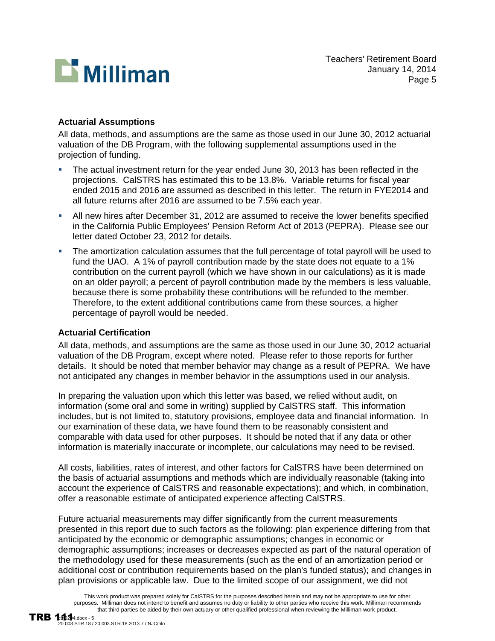

### **Actuarial Assumptions**

All data, methods, and assumptions are the same as those used in our June 30, 2012 actuarial valuation of the DB Program, with the following supplemental assumptions used in the projection of funding.

- The actual investment return for the year ended June 30, 2013 has been reflected in the projections. CalSTRS has estimated this to be 13.8%. Variable returns for fiscal year ended 2015 and 2016 are assumed as described in this letter. The return in FYE2014 and all future returns after 2016 are assumed to be 7.5% each year.
- All new hires after December 31, 2012 are assumed to receive the lower benefits specified in the California Public Employees' Pension Reform Act of 2013 (PEPRA). Please see our letter dated October 23, 2012 for details.
- The amortization calculation assumes that the full percentage of total payroll will be used to fund the UAO. A 1% of payroll contribution made by the state does not equate to a 1% contribution on the current payroll (which we have shown in our calculations) as it is made on an older payroll; a percent of payroll contribution made by the members is less valuable, because there is some probability these contributions will be refunded to the member. Therefore, to the extent additional contributions came from these sources, a higher percentage of payroll would be needed.

### **Actuarial Certification**

All data, methods, and assumptions are the same as those used in our June 30, 2012 actuarial valuation of the DB Program, except where noted. Please refer to those reports for further details. It should be noted that member behavior may change as a result of PEPRA. We have not anticipated any changes in member behavior in the assumptions used in our analysis.

In preparing the valuation upon which this letter was based, we relied without audit, on information (some oral and some in writing) supplied by CalSTRS staff. This information includes, but is not limited to, statutory provisions, employee data and financial information. In our examination of these data, we have found them to be reasonably consistent and comparable with data used for other purposes. It should be noted that if any data or other information is materially inaccurate or incomplete, our calculations may need to be revised.

All costs, liabilities, rates of interest, and other factors for CalSTRS have been determined on the basis of actuarial assumptions and methods which are individually reasonable (taking into account the experience of CalSTRS and reasonable expectations); and which, in combination, offer a reasonable estimate of anticipated experience affecting CalSTRS.

Future actuarial measurements may differ significantly from the current measurements presented in this report due to such factors as the following: plan experience differing from that anticipated by the economic or demographic assumptions; changes in economic or demographic assumptions; increases or decreases expected as part of the natural operation of the methodology used for these measurements (such as the end of an amortization period or additional cost or contribution requirements based on the plan's funded status); and changes in plan provisions or applicable law. Due to the limited scope of our assignment, we did not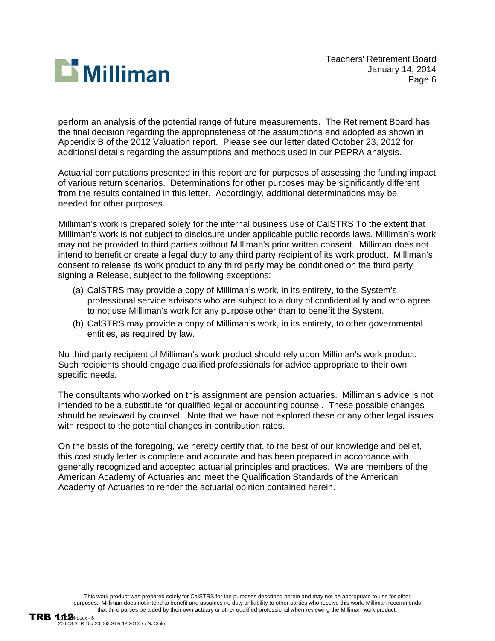

perform an analysis of the potential range of future measurements. The Retirement Board has the final decision regarding the appropriateness of the assumptions and adopted as shown in Appendix B of the 2012 Valuation report. Please see our letter dated October 23, 2012 for additional details regarding the assumptions and methods used in our PEPRA analysis.

Actuarial computations presented in this report are for purposes of assessing the funding impact of various return scenarios. Determinations for other purposes may be significantly different from the results contained in this letter. Accordingly, additional determinations may be needed for other purposes.

Milliman's work is prepared solely for the internal business use of CalSTRS To the extent that Milliman's work is not subject to disclosure under applicable public records laws, Milliman's work may not be provided to third parties without Milliman's prior written consent. Milliman does not intend to benefit or create a legal duty to any third party recipient of its work product. Milliman's consent to release its work product to any third party may be conditioned on the third party signing a Release, subject to the following exceptions:

- (a) CalSTRS may provide a copy of Milliman's work, in its entirety, to the System's professional service advisors who are subject to a duty of confidentiality and who agree to not use Milliman's work for any purpose other than to benefit the System.
- (b) CalSTRS may provide a copy of Milliman's work, in its entirety, to other governmental entities, as required by law.

No third party recipient of Milliman's work product should rely upon Milliman's work product. Such recipients should engage qualified professionals for advice appropriate to their own specific needs.

The consultants who worked on this assignment are pension actuaries. Milliman's advice is not intended to be a substitute for qualified legal or accounting counsel. These possible changes should be reviewed by counsel. Note that we have not explored these or any other legal issues with respect to the potential changes in contribution rates.

On the basis of the foregoing, we hereby certify that, to the best of our knowledge and belief, this cost study letter is complete and accurate and has been prepared in accordance with generally recognized and accepted actuarial principles and practices. We are members of the American Academy of Actuaries and meet the Qualification Standards of the American Academy of Actuaries to render the actuarial opinion contained herein.